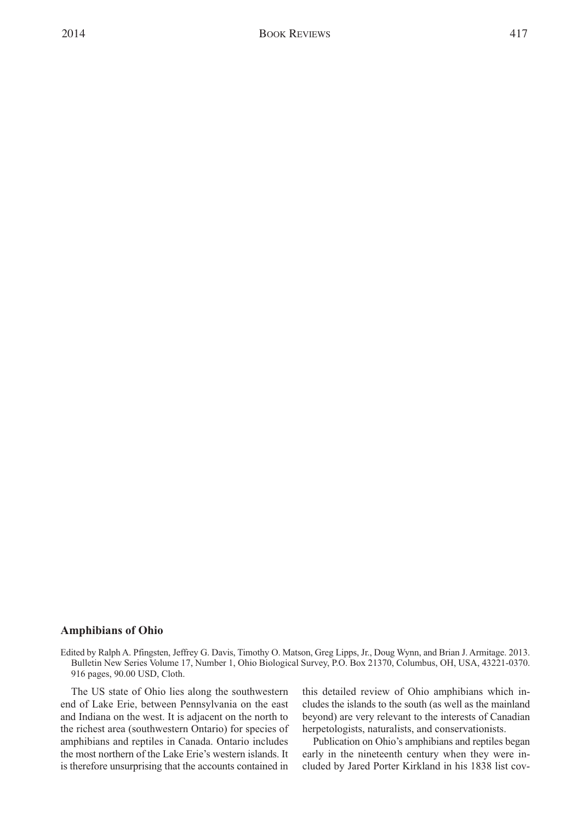## **Amphibians of Ohio**

Edited by Ralph A. Pfingsten, Jeffrey G. Davis, Timothy O. Matson, Greg Lipps, Jr., Doug Wynn, and Brian J. Armitage. 2013. Bulletin New Series Volume 17, Number 1, Ohio Biological Survey, P.O. Box 21370, Columbus, OH, USA, 43221-0370. 916 pages, 90.00 USD, Cloth.

The US state of Ohio lies along the southwestern end of Lake Erie, between Pennsylvania on the east and Indiana on the west. It is adjacent on the north to the richest area (southwestern Ontario) for species of amphibians and reptiles in Canada. Ontario includes the most northern of the Lake Erie's western islands. It is therefore unsurprising that the accounts contained in

this detailed review of Ohio amphibians which includes the islands to the south (as well as the mainland beyond) are very relevant to the interests of Canadian herpetologists, naturalists, and conservationists.

Publication on Ohio's amphibians and reptiles began early in the nineteenth century when they were included by Jared Porter Kirkland in his 1838 list cov